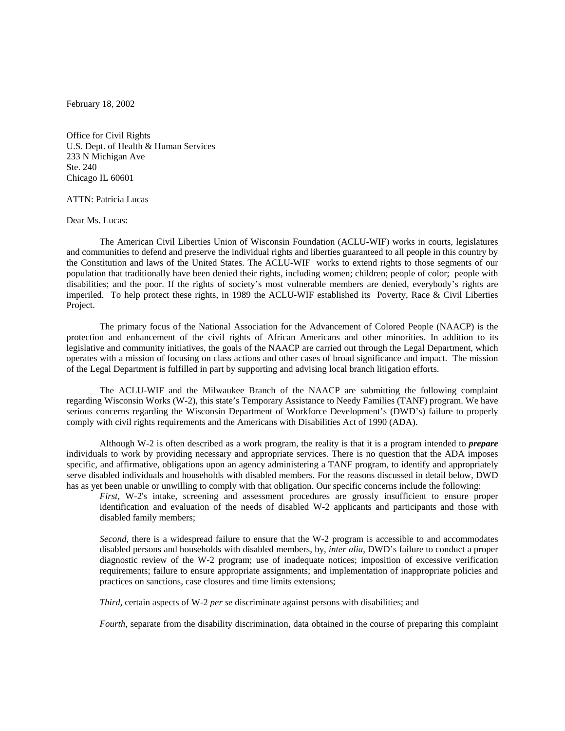February 18, 2002

Office for Civil Rights U.S. Dept. of Health & Human Services 233 N Michigan Ave Ste. 240 Chicago IL 60601

ATTN: Patricia Lucas

Dear Ms. Lucas:

 The American Civil Liberties Union of Wisconsin Foundation (ACLU-WIF) works in courts, legislatures and communities to defend and preserve the individual rights and liberties guaranteed to all people in this country by the Constitution and laws of the United States. The ACLU-WIF works to extend rights to those segments of our population that traditionally have been denied their rights, including women; children; people of color; people with disabilities; and the poor. If the rights of society's most vulnerable members are denied, everybody's rights are imperiled. To help protect these rights, in 1989 the ACLU-WIF established its Poverty, Race & Civil Liberties Project.

 The primary focus of the National Association for the Advancement of Colored People (NAACP) is the protection and enhancement of the civil rights of African Americans and other minorities. In addition to its legislative and community initiatives, the goals of the NAACP are carried out through the Legal Department, which operates with a mission of focusing on class actions and other cases of broad significance and impact. The mission of the Legal Department is fulfilled in part by supporting and advising local branch litigation efforts.

 The ACLU-WIF and the Milwaukee Branch of the NAACP are submitting the following complaint regarding Wisconsin Works (W-2), this state's Temporary Assistance to Needy Families (TANF) program. We have serious concerns regarding the Wisconsin Department of Workforce Development's (DWD's) failure to properly comply with civil rights requirements and the Americans with Disabilities Act of 1990 (ADA).

 Although W-2 is often described as a work program, the reality is that it is a program intended to *prepare* individuals to work by providing necessary and appropriate services. There is no question that the ADA imposes specific, and affirmative, obligations upon an agency administering a TANF program, to identify and appropriately serve disabled individuals and households with disabled members. For the reasons discussed in detail below, DWD has as yet been unable or unwilling to comply with that obligation. Our specific concerns include the following:

*First*, W-2's intake, screening and assessment procedures are grossly insufficient to ensure proper identification and evaluation of the needs of disabled W-2 applicants and participants and those with disabled family members;

*Second*, there is a widespread failure to ensure that the W-2 program is accessible to and accommodates disabled persons and households with disabled members, by, *inter alia*, DWD's failure to conduct a proper diagnostic review of the W-2 program; use of inadequate notices; imposition of excessive verification requirements; failure to ensure appropriate assignments; and implementation of inappropriate policies and practices on sanctions, case closures and time limits extensions;

*Third,* certain aspects of W-2 *per se* discriminate against persons with disabilities; and

*Fourth*, separate from the disability discrimination, data obtained in the course of preparing this complaint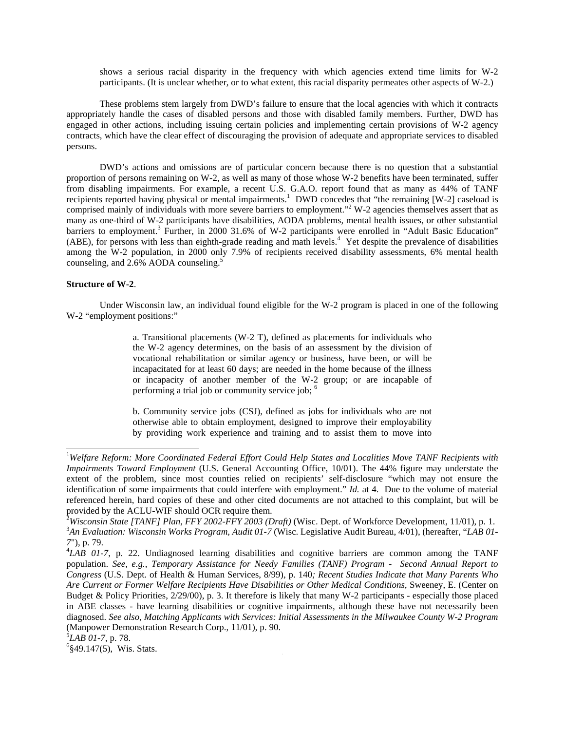shows a serious racial disparity in the frequency with which agencies extend time limits for W-2 participants. (It is unclear whether, or to what extent, this racial disparity permeates other aspects of W-2.)

These problems stem largely from DWD's failure to ensure that the local agencies with which it contracts appropriately handle the cases of disabled persons and those with disabled family members. Further, DWD has engaged in other actions, including issuing certain policies and implementing certain provisions of W-2 agency contracts, which have the clear effect of discouraging the provision of adequate and appropriate services to disabled persons.

DWD's actions and omissions are of particular concern because there is no question that a substantial proportion of persons remaining on W-2, as well as many of those whose W-2 benefits have been terminated, suffer from disabling impairments. For example, a recent U.S. G.A.O. report found that as many as 44% of TANF recipients reported having physical or mental impairments.<sup>1</sup> DWD concedes that "the remaining [W-2] caseload is comprised mainly of individuals with more severe barriers to employment."<sup>[2](#page-1-1)</sup> W-2 agencies themselves assert that as many as one-third of W-2 participants have disabilities, AODA problems, mental health issues, or other substantial barriers to employment.<sup>[3](#page-1-2)</sup> Further, in 2000 31.6% of W-2 participants were enrolled in "Adult Basic Education" (ABE), for persons with less than eighth-grade reading and math levels. [4](#page-1-3) Yet despite the prevalence of disabilities among the W-2 population, in 2000 only 7.9% of recipients received disability assessments, 6% mental health counseling, and 2.6% AODA counseling.<sup>5</sup>

#### **Structure of W-2**.

Under Wisconsin law, an individual found eligible for the W-2 program is placed in one of the following W-2 "employment positions:"

> a. Transitional placements (W-2 T), defined as placements for individuals who the W-2 agency determines, on the basis of an assessment by the division of vocational rehabilitation or similar agency or business, have been, or will be incapacitated for at least 60 days; are needed in the home because of the illness or incapacity of another member of the W-2 group; or are incapable of performing a trial job or community service job; <sup>[6](#page-1-5)</sup>

> b. Community service jobs (CSJ), defined as jobs for individuals who are not otherwise able to obtain employment, designed to improve their employability by providing work experience and training and to assist them to move into

<span id="page-1-0"></span> $\frac{1}{1}$ *Welfare Reform: More Coordinated Federal Effort Could Help States and Localities Move TANF Recipients with Impairments Toward Employment* (U.S. General Accounting Office, 10/01). The 44% figure may understate the extent of the problem, since most counties relied on recipients' self-disclosure "which may not ensure the identification of some impairments that could interfere with employment." *Id.* at 4. Due to the volume of material referenced herein, hard copies of these and other cited documents are not attached to this complaint, but will be provided by the ACLU-WIF should OCR require them. 2

<span id="page-1-2"></span><span id="page-1-1"></span><sup>&</sup>lt;sup>2</sup>Wisconsin State [TANF] Plan, FFY 2002-FFY 2003 (Draft) (Wisc. Dept. of Workforce Development, 11/01), p. 1. *An Evaluation: Wisconsin Works Program, Audit 01-7* (Wisc. Legislative Audit Bureau, 4/01), (hereafter, "*LAB 01- 7*"), p. 79.

<span id="page-1-3"></span><sup>&</sup>lt;sup>4</sup>LAB 01-7, p. 22. Undiagnosed learning disabilities and cognitive barriers are common among the TANF population. *See, e.g.*, *Temporary Assistance for Needy Families (TANF) Program - Second Annual Report to Congress* (U.S. Dept. of Health & Human Services, 8/99), p. 140*; Recent Studies Indicate that Many Parents Who Are Current or Former Welfare Recipients Have Disabilities or Other Medical Conditions*, Sweeney, E. (Center on Budget & Policy Priorities, 2/29/00), p. 3. It therefore is likely that many W-2 participants - especially those placed in ABE classes - have learning disabilities or cognitive impairments, although these have not necessarily been diagnosed. *See also, Matching Applicants with Services: Initial Assessments in the Milwaukee County W-2 Program*  (Manpower Demonstration Research Corp., 11/01), p. 90.

<span id="page-1-4"></span> ${}^{5}$ *LAB* 01-7, p. 78.

<span id="page-1-5"></span> $6$ §49.147(5), Wis. Stats.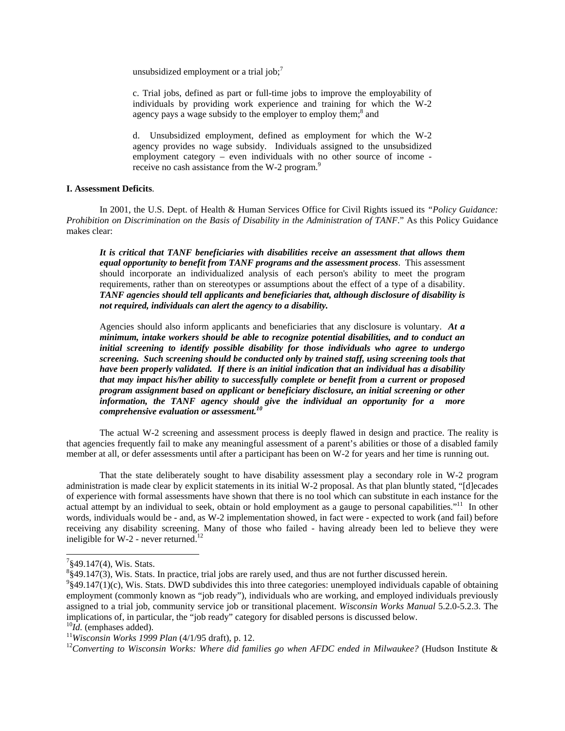<span id="page-2-5"></span>unsubsidized employment or a trial job;<sup>7</sup>

c. Trial jobs, defined as part or full-time jobs to improve the employability of individuals by providing work experience and training for which the W-2 agency pays a wage subsidy to the employer to employ them;<sup>[8](#page-2-1)</sup> and

d. Unsubsidized employment, defined as employment for which the W-2 agency provides no wage subsidy. Individuals assigned to the unsubsidized employment category – even individuals with no other source of income - receive no cash assistance from the W-2 program.<sup>[9](#page-2-2)</sup>

# **I. Assessment Deficits**.

In 2001, the U.S. Dept. of Health & Human Services Office for Civil Rights issued its *"Policy Guidance: Prohibition on Discrimination on the Basis of Disability in the Administration of TANF*." As this Policy Guidance makes clear:

*It is critical that TANF beneficiaries with disabilities receive an assessment that allows them equal opportunity to benefit from TANF programs and the assessment process*. This assessment should incorporate an individualized analysis of each person's ability to meet the program requirements, rather than on stereotypes or assumptions about the effect of a type of a disability. *TANF agencies should tell applicants and beneficiaries that, although disclosure of disability is not required, individuals can alert the agency to a disability.*

Agencies should also inform applicants and beneficiaries that any disclosure is voluntary. *At a minimum, intake workers should be able to recognize potential disabilities, and to conduct an initial screening to identify possible disability for those individuals who agree to undergo screening. Such screening should be conducted only by trained staff, using screening tools that have been properly validated. If there is an initial indication that an individual has a disability that may impact his/her ability to successfully complete or benefit from a current or proposed program assignment based on applicant or beneficiary disclosure, an initial screening or other information, the TANF agency should give the individual an opportunity for a more comprehensive evaluation or assessment.[10](#page-2-3)*

The actual W-2 screening and assessment process is deeply flawed in design and practice. The reality is that agencies frequently fail to make any meaningful assessment of a parent's abilities or those of a disabled family member at all, or defer assessments until after a participant has been on W-2 for years and her time is running out.

That the state deliberately sought to have disability assessment play a secondary role in W-2 program administration is made clear by explicit statements in its initial W-2 proposal. As that plan bluntly stated, "[d]ecades of experience with formal assessments have shown that there is no tool which can substitute in each instance for the actual attempt by an individual to seek, obtain or hold employment as a gauge to personal capabilities."<sup>11</sup> In other words, individuals would be - and, as W-2 implementation showed, in fact were - expected to work (and fail) before receiving any disability screening. Many of those who failed - having already been led to believe they were ineligible for W-2 - never returned.<sup>12</sup>

<span id="page-2-0"></span><sup>-&</sup>lt;br>7  $^{7}$ §49.147(4), Wis. Stats.

<span id="page-2-1"></span><sup>§49.147(3),</sup> Wis. Stats. In practice, trial jobs are rarely used, and thus are not further discussed herein. 9

<span id="page-2-2"></span> ${}^{9}$ §49.147(1)(c), Wis. Stats. DWD subdivides this into three categories: unemployed individuals capable of obtaining employment (commonly known as "job ready"), individuals who are working, and employed individuals previously assigned to a trial job, community service job or transitional placement. *Wisconsin Works Manual* 5.2.0-5.2.3. The implications of, in particular, the "job ready" category for disabled persons is discussed below. 10*Id.* (emphases added).

<span id="page-2-3"></span>

<span id="page-2-4"></span><sup>11</sup>*Wisconsin Works 1999 Plan* (4/1/95 draft), p. 12.

<sup>&</sup>lt;sup>12</sup>Converting to Wisconsin Works: Where did families go when AFDC ended in Milwaukee? (Hudson Institute &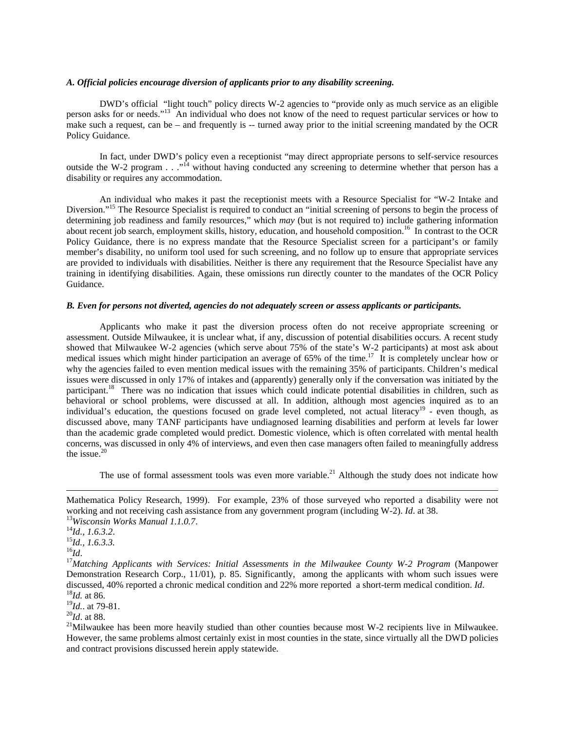# *A. Official policies encourage diversion of applicants prior to any disability screening.*

DWD's official "light touch" policy directs W-2 agencies to "provide only as much service as an eligible person asks for or needs.["13](#page-3-0) An individual who does not know of the need to request particular services or how to make such a request, can be – and frequently is -- turned away prior to the initial screening mandated by the OCR Policy Guidance.

In fact, under DWD's policy even a receptionist "may direct appropriate persons to self-service resources outside the W-2 program . . ."<sup>14</sup> without having conducted any screening to determine whether that person has a disability or requires any accommodation.

An individual who makes it past the receptionist meets with a Resource Specialist for "W-2 Intake and Diversion."<sup>15</sup> The Resource Specialist is required to conduct an "initial screening of persons to begin the process of determining job readiness and family resources," which *may* (but is not required to) include gathering information about recent job search, employment skills, history, education, and household composition.<sup>16</sup> In contrast to the OCR Policy Guidance, there is no express mandate that the Resource Specialist screen for a participant's or family member's disability, no uniform tool used for such screening, and no follow up to ensure that appropriate services are provided to individuals with disabilities. Neither is there any requirement that the Resource Specialist have any training in identifying disabilities. Again, these omissions run directly counter to the mandates of the OCR Policy Guidance.

# *B. Even for persons not diverted, agencies do not adequately screen or assess applicants or participants.*

Applicants who make it past the diversion process often do not receive appropriate screening or assessment. Outside Milwaukee, it is unclear what, if any, discussion of potential disabilities occurs. A recent study showed that Milwaukee W-2 agencies (which serve about 75% of the state's W-2 participants) at most ask about medical issues which might hinder participation an average of 65% of the time.<sup>17</sup> It is completely unclear how or why the agencies failed to even mention medical issues with the remaining 35% of participants. Children's medical issues were discussed in only 17% of intakes and (apparently) generally only if the conversation was initiated by the participant.<sup>18</sup> There was no indication that issues which could indicate potential disabilities in children, such as behavioral or school problems, were discussed at all. In addition, although most agencies inquired as to an individual's education, the questions focused on grade level completed, not actual literacy<sup>19</sup> - even though, as discussed above, many TANF participants have undiagnosed learning disabilities and perform at levels far lower than the academic grade completed would predict. Domestic violence, which is often correlated with mental health concerns, was discussed in only 4% of interviews, and even then case managers often failed to meaningfully address the issue.<sup>[20](#page-3-7)</sup>

The use of formal assessment tools was even more variable.<sup>21</sup> Although the study does not indicate how

-

<span id="page-3-7"></span><sup>20</sup>*Id*. at 88.

<span id="page-3-8"></span> $21$ Milwaukee has been more heavily studied than other counties because most W-2 recipients live in Milwaukee. However, the same problems almost certainly exist in most counties in the state, since virtually all the DWD policies and contract provisions discussed herein apply statewide.

Mathematica Policy Research, 1999). For example, 23% of those surveyed who reported a disability were not working and not receiving cash assistance from any government program (including W-2). *Id.* at 38. <sup>13</sup>*Wisconsin Works Manual 1.1.0.7*. <sup>14</sup>*Id., 1.6.3.2*. <sup>15</sup>*Id., 1.6.3.3.* <sup>15</sup>*Id., 1.6.3.3.* <sup>15</sup>*Id.* <sup>16</sup>*Id.* 

<span id="page-3-1"></span><span id="page-3-0"></span>

<span id="page-3-2"></span>

<span id="page-3-3"></span>

<span id="page-3-4"></span><sup>&</sup>lt;sup>17</sup>Matching Applicants with Services: Initial Assessments in the Milwaukee County W-2 Program (Manpower Demonstration Research Corp., 11/01), p. 85. Significantly, among the applicants with whom such issues were discussed, 40% reported a chronic medical condition and 22% more reported a short-term medical condition. *Id*. 18*Id.* at 86.

<span id="page-3-6"></span><span id="page-3-5"></span><sup>19</sup>*Id.*. at 79-81.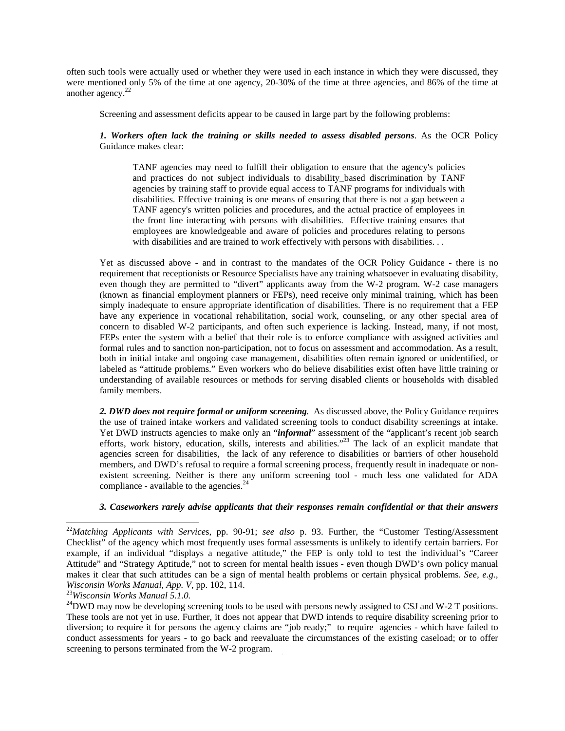often such tools were actually used or whether they were used in each instance in which they were discussed, they were mentioned only 5% of the time at one agency, 20-30% of the time at three agencies, and 86% of the time at another agency.<sup>22</sup>

Screening and assessment deficits appear to be caused in large part by the following problems:

# *1. Workers often lack the training or skills needed to assess disabled persons*. As the OCR Policy Guidance makes clear:

TANF agencies may need to fulfill their obligation to ensure that the agency's policies and practices do not subject individuals to disability\_based discrimination by TANF agencies by training staff to provide equal access to TANF programs for individuals with disabilities. Effective training is one means of ensuring that there is not a gap between a TANF agency's written policies and procedures, and the actual practice of employees in the front line interacting with persons with disabilities. Effective training ensures that employees are knowledgeable and aware of policies and procedures relating to persons with disabilities and are trained to work effectively with persons with disabilities. . .

Yet as discussed above - and in contrast to the mandates of the OCR Policy Guidance - there is no requirement that receptionists or Resource Specialists have any training whatsoever in evaluating disability, even though they are permitted to "divert" applicants away from the W-2 program. W-2 case managers (known as financial employment planners or FEPs), need receive only minimal training, which has been simply inadequate to ensure appropriate identification of disabilities. There is no requirement that a FEP have any experience in vocational rehabilitation, social work, counseling, or any other special area of concern to disabled W-2 participants, and often such experience is lacking. Instead, many, if not most, FEPs enter the system with a belief that their role is to enforce compliance with assigned activities and formal rules and to sanction non-participation, not to focus on assessment and accommodation. As a result, both in initial intake and ongoing case management, disabilities often remain ignored or unidentified, or labeled as "attitude problems." Even workers who do believe disabilities exist often have little training or understanding of available resources or methods for serving disabled clients or households with disabled family members.

*2. DWD does not require formal or uniform screening.* As discussed above, the Policy Guidance requires the use of trained intake workers and validated screening tools to conduct disability screenings at intake. Yet DWD instructs agencies to make only an "*informal*" assessment of the "applicant's recent job search efforts, work history, education, skills, interests and abilities."<sup>23</sup> The lack of an explicit mandate that agencies screen for disabilities, the lack of any reference to disabilities or barriers of other household members, and DWD's refusal to require a formal screening process, frequently result in inadequate or nonexistent screening. Neither is there any uniform screening tool - much less one validated for ADA compliance - available to the agencies. $24$ 

# *3. Caseworkers rarely advise applicants that their responses remain confidential or that their answers*

<span id="page-4-0"></span> <sup>22</sup>*Matching Applicants with Service*s, pp. 90-91; *see also* p. 93. Further, the "Customer Testing/Assessment Checklist" of the agency which most frequently uses formal assessments is unlikely to identify certain barriers. For example, if an individual "displays a negative attitude," the FEP is only told to test the individual's "Career Attitude" and "Strategy Aptitude," not to screen for mental health issues - even though DWD's own policy manual makes it clear that such attitudes can be a sign of mental health problems or certain physical problems. *See, e.g., Wisconsin Works Manual, App. V*, pp. 102, 114. 23*Wisconsin Works Manual 5.1.0.*

<span id="page-4-1"></span>

<span id="page-4-2"></span> $^{24}$ DWD may now be developing screening tools to be used with persons newly assigned to CSJ and W-2 T positions. These tools are not yet in use. Further, it does not appear that DWD intends to require disability screening prior to diversion; to require it for persons the agency claims are "job ready;" to require agencies - which have failed to conduct assessments for years - to go back and reevaluate the circumstances of the existing caseload; or to offer screening to persons terminated from the W-2 program.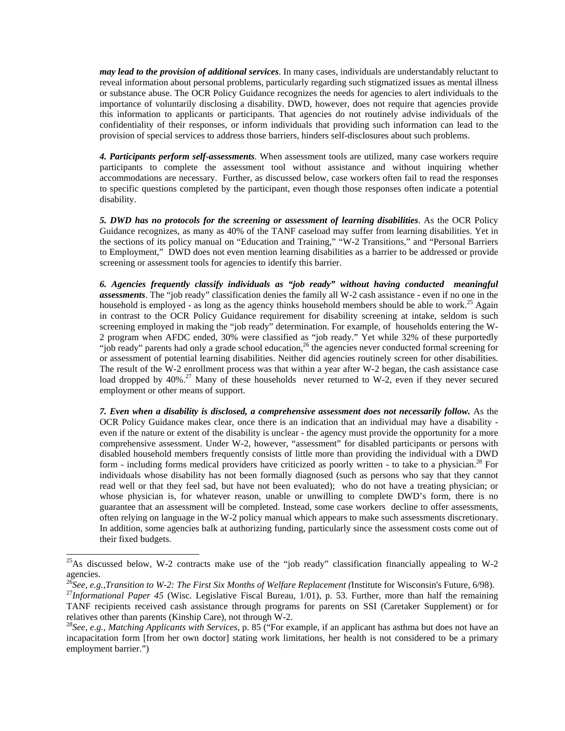*may lead to the provision of additional services*. In many cases, individuals are understandably reluctant to reveal information about personal problems, particularly regarding such stigmatized issues as mental illness or substance abuse. The OCR Policy Guidance recognizes the needs for agencies to alert individuals to the importance of voluntarily disclosing a disability. DWD, however, does not require that agencies provide this information to applicants or participants. That agencies do not routinely advise individuals of the confidentiality of their responses, or inform individuals that providing such information can lead to the provision of special services to address those barriers, hinders self-disclosures about such problems.

*4. Participants perform self-assessments.* When assessment tools are utilized, many case workers require participants to complete the assessment tool without assistance and without inquiring whether accommodations are necessary. Further, as discussed below, case workers often fail to read the responses to specific questions completed by the participant, even though those responses often indicate a potential disability.

*5. DWD has no protocols for the screening or assessment of learning disabilities*. As the OCR Policy Guidance recognizes, as many as 40% of the TANF caseload may suffer from learning disabilities. Yet in the sections of its policy manual on "Education and Training," "W-2 Transitions," and "Personal Barriers to Employment," DWD does not even mention learning disabilities as a barrier to be addressed or provide screening or assessment tools for agencies to identify this barrier.

*6. Agencies frequently classify individuals as "job ready" without having conducted meaningful assessments*. The "job ready" classification denies the family all W-2 cash assistance - even if no one in the household is employed - as long as the agency thinks household members should be able to work.<sup>25</sup> Again in contrast to the OCR Policy Guidance requirement for disability screening at intake, seldom is such screening employed in making the "job ready" determination. For example, of households entering the W-2 program when AFDC ended, 30% were classified as "job ready." Yet while 32% of these purportedly "job ready" parents had only a grade school education,<sup>[26](#page-5-1)</sup> the agencies never conducted formal screening for or assessment of potential learning disabilities. Neither did agencies routinely screen for other disabilities. The result of the W-2 enrollment process was that within a year after W-2 began, the cash assistance case load dropped by 40%.<sup>27</sup> Many of these households never returned to W-2, even if they never secured employment or other means of support.

*7. Even when a disability is disclosed, a comprehensive assessment does not necessarily follow.* As the OCR Policy Guidance makes clear, once there is an indication that an individual may have a disability even if the nature or extent of the disability is unclear - the agency must provide the opportunity for a more comprehensive assessment. Under W-2, however, "assessment" for disabled participants or persons with disabled household members frequently consists of little more than providing the individual with a DWD form - including forms medical providers have criticized as poorly written - to take to a physician.<sup>28</sup> For individuals whose disability has not been formally diagnosed (such as persons who say that they cannot read well or that they feel sad, but have not been evaluated); who do not have a treating physician; or whose physician is, for whatever reason, unable or unwilling to complete DWD's form, there is no guarantee that an assessment will be completed. Instead, some case workers decline to offer assessments, often relying on language in the W-2 policy manual which appears to make such assessments discretionary. In addition, some agencies balk at authorizing funding, particularly since the assessment costs come out of their fixed budgets.

<span id="page-5-0"></span><sup>&</sup>lt;sup>25</sup>As discussed below, W-2 contracts make use of the "job ready" classification financially appealing to W-2 agencies.

<span id="page-5-2"></span><span id="page-5-1"></span>

<sup>&</sup>lt;sup>26</sup>See, e.g., Transition to W-2: The First Six Months of Welfare Replacement (Institute for Wisconsin's Future, 6/98).<br><sup>27</sup>Informational Paper 45 (Wisc. Legislative Fiscal Bureau, 1/01), p. 53. Further, more than half the TANF recipients received cash assistance through programs for parents on SSI (Caretaker Supplement) or for relatives other than parents (Kinship Care), not through W-2.

<span id="page-5-3"></span><sup>28</sup>*See, e.g., Matching Applicants with Services,* p. 85 ("For example, if an applicant has asthma but does not have an incapacitation form [from her own doctor] stating work limitations, her health is not considered to be a primary employment barrier.")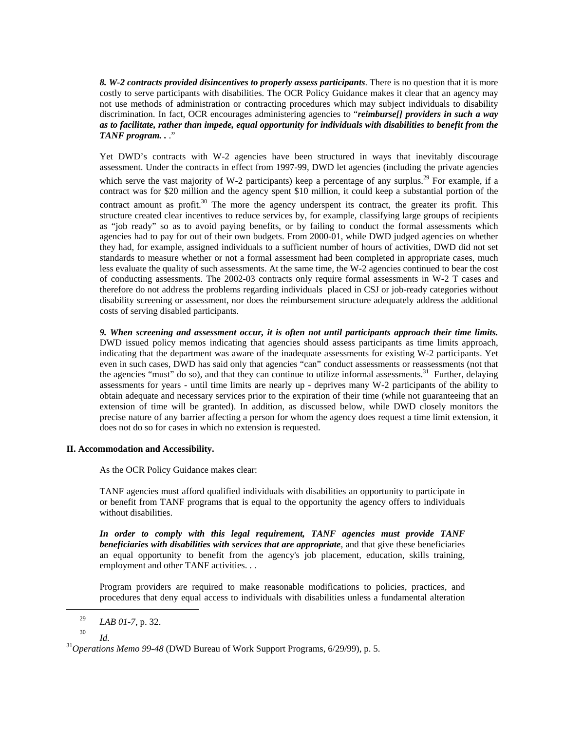*8. W-2 contracts provided disincentives to properly assess participants*. There is no question that it is more costly to serve participants with disabilities. The OCR Policy Guidance makes it clear that an agency may not use methods of administration or contracting procedures which may subject individuals to disability discrimination. In fact, OCR encourages administering agencies to "*reimburse[] providers in such a way as to facilitate, rather than impede, equal opportunity for individuals with disabilities to benefit from the TANF program. .* ."

Yet DWD's contracts with W-2 agencies have been structured in ways that inevitably discourage assessment. Under the contracts in effect from 1997-99, DWD let agencies (including the private agencies which serve the vast majority of W-2 participants) keep a percentage of any surplus.<sup>[29](#page-6-0)</sup> For example, if a contract was for \$20 million and the agency spent \$10 million, it could keep a substantial portion of the contract amount as profit.<sup>30</sup> The more the agency underspent its contract, the greater its profit. This structure created clear incentives to reduce services by, for example, classifying large groups of recipients as "job ready" so as to avoid paying benefits, or by failing to conduct the formal assessments which agencies had to pay for out of their own budgets. From 2000-01, while DWD judged agencies on whether they had, for example, assigned individuals to a sufficient number of hours of activities, DWD did not set standards to measure whether or not a formal assessment had been completed in appropriate cases, much less evaluate the quality of such assessments. At the same time, the W-2 agencies continued to bear the cost of conducting assessments. The 2002-03 contracts only require formal assessments in W-2 T cases and therefore do not address the problems regarding individuals placed in CSJ or job-ready categories without disability screening or assessment, nor does the reimbursement structure adequately address the additional costs of serving disabled participants.

*9. When screening and assessment occur, it is often not until participants approach their time limits.*  DWD issued policy memos indicating that agencies should assess participants as time limits approach, indicating that the department was aware of the inadequate assessments for existing W-2 participants. Yet even in such cases, DWD has said only that agencies "can" conduct assessments or reassessments (not that the agencies "must" do so), and that they can continue to utilize informal assessments. $31$  Further, delaying assessments for years - until time limits are nearly up - deprives many W-2 participants of the ability to obtain adequate and necessary services prior to the expiration of their time (while not guaranteeing that an extension of time will be granted). In addition, as discussed below, while DWD closely monitors the precise nature of any barrier affecting a person for whom the agency does request a time limit extension, it does not do so for cases in which no extension is requested.

# **II. Accommodation and Accessibility.**

As the OCR Policy Guidance makes clear:

TANF agencies must afford qualified individuals with disabilities an opportunity to participate in or benefit from TANF programs that is equal to the opportunity the agency offers to individuals without disabilities.

*In order to comply with this legal requirement, TANF agencies must provide TANF beneficiaries with disabilities with services that are appropriate*, and that give these beneficiaries an equal opportunity to benefit from the agency's job placement, education, skills training, employment and other TANF activities. . .

Program providers are required to make reasonable modifications to policies, practices, and procedures that deny equal access to individuals with disabilities unless a fundamental alteration

<span id="page-6-0"></span> <sup>29</sup> *LAB 01-7*, p. 32.

<span id="page-6-1"></span><sup>30</sup>  *Id.*

<span id="page-6-2"></span><sup>&</sup>lt;sup>31</sup>Operations Memo 99-48 (DWD Bureau of Work Support Programs, 6/29/99), p. 5.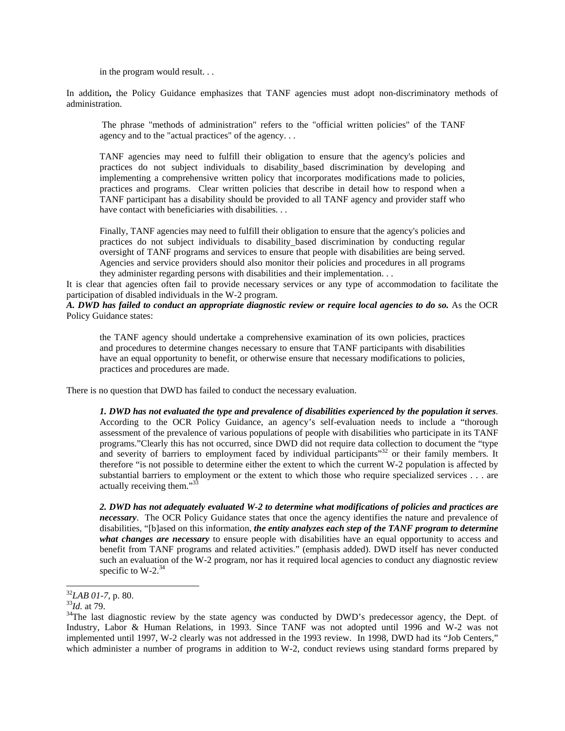in the program would result. . .

<span id="page-7-2"></span>In addition**,** the Policy Guidance emphasizes that TANF agencies must adopt non-discriminatory methods of administration.

The phrase "methods of administration" refers to the "official written policies" of the TANF agency and to the "actual practices" of the agency. . .

TANF agencies may need to fulfill their obligation to ensure that the agency's policies and practices do not subject individuals to disability\_based discrimination by developing and implementing a comprehensive written policy that incorporates modifications made to policies, practices and programs. Clear written policies that describe in detail how to respond when a TANF participant has a disability should be provided to all TANF agency and provider staff who have contact with beneficiaries with disabilities. . .

Finally, TANF agencies may need to fulfill their obligation to ensure that the agency's policies and practices do not subject individuals to disability\_based discrimination by conducting regular oversight of TANF programs and services to ensure that people with disabilities are being served. Agencies and service providers should also monitor their policies and procedures in all programs they administer regarding persons with disabilities and their implementation. . .

It is clear that agencies often fail to provide necessary services or any type of accommodation to facilitate the participation of disabled individuals in the W-2 program.

*A. DWD has failed to conduct an appropriate diagnostic review or require local agencies to do so.* As the OCR Policy Guidance states:

the TANF agency should undertake a comprehensive examination of its own policies, practices and procedures to determine changes necessary to ensure that TANF participants with disabilities have an equal opportunity to benefit, or otherwise ensure that necessary modifications to policies, practices and procedures are made.

There is no question that DWD has failed to conduct the necessary evaluation.

*1. DWD has not evaluated the type and prevalence of disabilities experienced by the population it serves*. According to the OCR Policy Guidance, an agency's self-evaluation needs to include a "thorough assessment of the prevalence of various populations of people with disabilities who participate in its TANF programs."Clearly this has not occurred, since DWD did not require data collection to document the "type and severity of barriers to employment faced by individual participants"<sup>[32](#page-7-0)</sup> or their family members. It therefore "is not possible to determine either the extent to which the current W-2 population is affected by substantial barriers to employment or the extent to which those who require specialized services . . . are actually receiving them."<sup>[33](#page-7-1)</sup>

*2. DWD has not adequately evaluated W-2 to determine what modifications of policies and practices are necessary*. The OCR Policy Guidance states that once the agency identifies the nature and prevalence of disabilities, "[b]ased on this information, *the entity analyzes each step of the TANF program to determine what changes are necessary* to ensure people with disabilities have an equal opportunity to access and benefit from TANF programs and related activities." (emphasis added). DWD itself has never conducted such an evaluation of the W-2 program, nor has it required local agencies to conduct any diagnostic review specific to  $W-2$ .<sup>34</sup>

<span id="page-7-0"></span> <sup>32</sup>*LAB 01-7,* p. 80.

<span id="page-7-1"></span><sup>33</sup>*Id.* at 79.

<sup>&</sup>lt;sup>34</sup>The last diagnostic review by the state agency was conducted by DWD's predecessor agency, the Dept. of Industry, Labor & Human Relations, in 1993. Since TANF was not adopted until 1996 and W-2 was not implemented until 1997, W-2 clearly was not addressed in the 1993 review. In 1998, DWD had its "Job Centers," which administer a number of programs in addition to W-2, conduct reviews using standard forms prepared by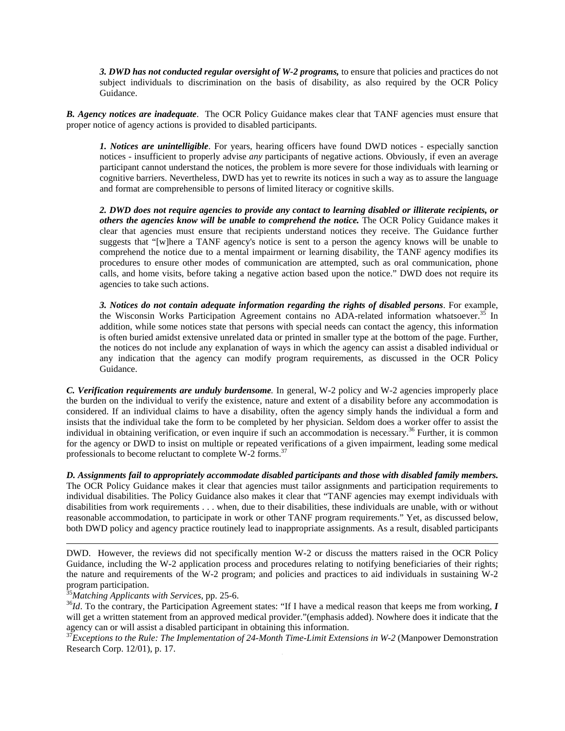*3. DWD has not conducted regular oversight of W-2 programs,* to ensure that policies and practices do not subject individuals to discrimination on the basis of disability, as also required by the OCR Policy Guidance.

*B. Agency notices are inadequate*. The OCR Policy Guidance makes clear that TANF agencies must ensure that proper notice of agency actions is provided to disabled participants.

*1. Notices are unintelligible*. For years, hearing officers have found DWD notices - especially sanction notices - insufficient to properly advise *any* participants of negative actions. Obviously, if even an average participant cannot understand the notices, the problem is more severe for those individuals with learning or cognitive barriers. Nevertheless, DWD has yet to rewrite its notices in such a way as to assure the language and format are comprehensible to persons of limited literacy or cognitive skills.

*2. DWD does not require agencies to provide any contact to learning disabled or illiterate recipients, or others the agencies know will be unable to comprehend the notice.* The OCR Policy Guidance makes it clear that agencies must ensure that recipients understand notices they receive. The Guidance further suggests that "[w]here a TANF agency's notice is sent to a person the agency knows will be unable to comprehend the notice due to a mental impairment or learning disability, the TANF agency modifies its procedures to ensure other modes of communication are attempted, such as oral communication, phone calls, and home visits, before taking a negative action based upon the notice." DWD does not require its agencies to take such actions.

*3. Notices do not contain adequate information regarding the rights of disabled persons*. For example, the Wisconsin Works Participation Agreement contains no ADA-related information whatsoever.<sup>35</sup> In addition, while some notices state that persons with special needs can contact the agency, this information is often buried amidst extensive unrelated data or printed in smaller type at the bottom of the page. Further, the notices do not include any explanation of ways in which the agency can assist a disabled individual or any indication that the agency can modify program requirements, as discussed in the OCR Policy Guidance.

*C. Verification requirements are unduly burdensome.* In general, W-2 policy and W-2 agencies improperly place the burden on the individual to verify the existence, nature and extent of a disability before any accommodation is considered. If an individual claims to have a disability, often the agency simply hands the individual a form and insists that the individual take the form to be completed by her physician. Seldom does a worker offer to assist the individual in obtaining verification, or even inquire if such an accommodation is necessary.<sup>36</sup> Further, it is common for the agency or DWD to insist on multiple or repeated verifications of a given impairment, leading some medical professionals to become reluctant to complete W-2 forms.<sup>37</sup>

*D. Assignments fail to appropriately accommodate disabled participants and those with disabled family members.* The OCR Policy Guidance makes it clear that agencies must tailor assignments and participation requirements to individual disabilities. The Policy Guidance also makes it clear that "TANF agencies may exempt individuals with disabilities from work requirements . . . when, due to their disabilities, these individuals are unable, with or without reasonable accommodation, to participate in work or other TANF program requirements." Yet, as discussed below, both DWD policy and agency practice routinely lead to inappropriate assignments. As a result, disabled participants

DWD. However, the reviews did not specifically mention W-2 or discuss the matters raised in the OCR Policy Guidance, including the W-2 application process and procedures relating to notifying beneficiaries of their rights; the nature and requirements of the W-2 program; and policies and practices to aid individuals in sustaining W-2 program participation.<br> $35$  Methods in the calculation of the W-2 program is the total number of the data.

<span id="page-8-1"></span><span id="page-8-0"></span>

-

<sup>35</sup>*Matching Applicants with Services*, pp. 25-6.<br><sup>36</sup>*Id*. To the contrary, the Participation Agreement states: "If I have a medical reason that keeps me from working, *I* will get a written statement from an approved medical provider."(emphasis added). Nowhere does it indicate that the agency can or will assist a disabled participant in obtaining this information.

<span id="page-8-2"></span><sup>37</sup>Exceptions to the Rule: The Implementation of 24-Month Time-Limit Extensions in W-2 (Manpower Demonstration Research Corp. 12/01), p. 17.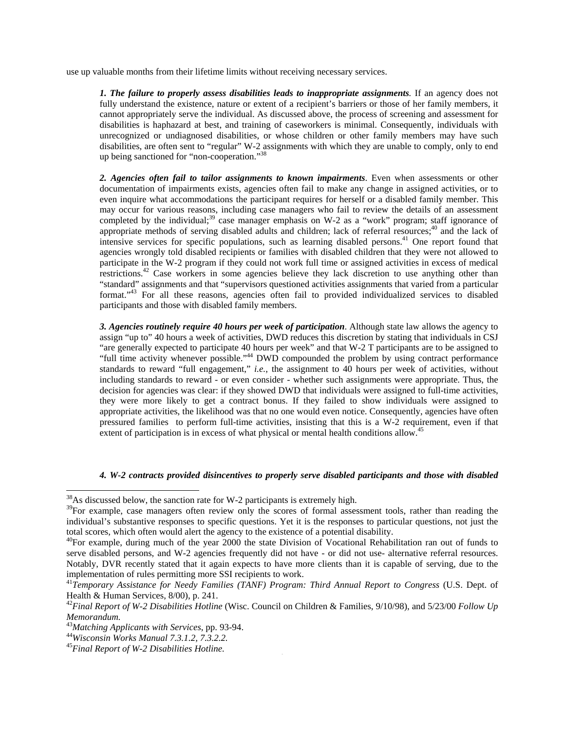use up valuable months from their lifetime limits without receiving necessary services.

*1. The failure to properly assess disabilities leads to inappropriate assignments.* If an agency does not fully understand the existence, nature or extent of a recipient's barriers or those of her family members, it cannot appropriately serve the individual. As discussed above, the process of screening and assessment for disabilities is haphazard at best, and training of caseworkers is minimal. Consequently, individuals with unrecognized or undiagnosed disabilities, or whose children or other family members may have such disabilities, are often sent to "regular" W-2 assignments with which they are unable to comply, only to end up being sanctioned for "non-cooperation."<sup>38</sup>

*2. Agencies often fail to tailor assignments to known impairments*. Even when assessments or other documentation of impairments exists, agencies often fail to make any change in assigned activities, or to even inquire what accommodations the participant requires for herself or a disabled family member. This may occur for various reasons, including case managers who fail to review the details of an assessment completed by the individual;<sup>39</sup> case manager emphasis on W-2 as a "work" program; staff ignorance of appropriate methods of serving disabled adults and children; lack of referral resources; $40$  and the lack of intensive services for specific populations, such as learning disabled persons.<sup>41</sup> One report found that agencies wrongly told disabled recipients or families with disabled children that they were not allowed to participate in the W-2 program if they could not work full time or assigned activities in excess of medical restrictions.<sup>42</sup> Case workers in some agencies believe they lack discretion to use anything other than "standard" assignments and that "supervisors questioned activities assignments that varied from a particular format."[43](#page-9-5) For all these reasons, agencies often fail to provided individualized services to disabled participants and those with disabled family members.

*3. Agencies routinely require 40 hours per week of participation*. Although state law allows the agency to assign "up to" 40 hours a week of activities, DWD reduces this discretion by stating that individuals in CSJ "are generally expected to participate 40 hours per week" and that W-2 T participants are to be assigned to "full time activity whenever possible."<sup>44</sup> DWD compounded the problem by using contract performance standards to reward "full engagement," *i.e.*, the assignment to 40 hours per week of activities, without including standards to reward - or even consider - whether such assignments were appropriate. Thus, the decision for agencies was clear: if they showed DWD that individuals were assigned to full-time activities, they were more likely to get a contract bonus. If they failed to show individuals were assigned to appropriate activities, the likelihood was that no one would even notice. Consequently, agencies have often pressured families to perform full-time activities, insisting that this is a W-2 requirement, even if that extent of participation is in excess of what physical or mental health conditions allow.<sup>45</sup>

# *4. W-2 contracts provided disincentives to properly serve disabled participants and those with disabled*

<span id="page-9-0"></span> $38\text{As}$  discussed below, the sanction rate for W-2 participants is extremely high.

<span id="page-9-1"></span> $39$ For example, case managers often review only the scores of formal assessment tools, rather than reading the individual's substantive responses to specific questions. Yet it is the responses to particular questions, not just the total scores, which often would alert the agency to the existence of a potential disability.<br><sup>40</sup>For example, during much of the year 2000 the state Division of Vocational Rehabilitation ran out of funds to

<span id="page-9-2"></span>serve disabled persons, and W-2 agencies frequently did not have - or did not use- alternative referral resources. Notably, DVR recently stated that it again expects to have more clients than it is capable of serving, due to the implementation of rules permitting more SSI recipients to work. 41*Temporary Assistance for Needy Families (TANF) Program: Third Annual Report to Congress* (U.S. Dept. of

<span id="page-9-3"></span>Health & Human Services, 8/00), p. 241. 42*Final Report of W-2 Disabilities Hotline* (Wisc. Council on Children & Families, 9/10/98), and 5/23/00 *Follow Up*

<span id="page-9-4"></span>*Memorandum.*<br><sup>43</sup>*Matching Applicants with Services, pp. 93-94.* 

<span id="page-9-5"></span>

<span id="page-9-6"></span><sup>43</sup>*Matching Applicants with Services*, pp. 93-94. 44*Wisconsin Works Manual 7.3.1.2, 7.3.2.2.*

<span id="page-9-7"></span><sup>45</sup>*Final Report of W-2 Disabilities Hotline.*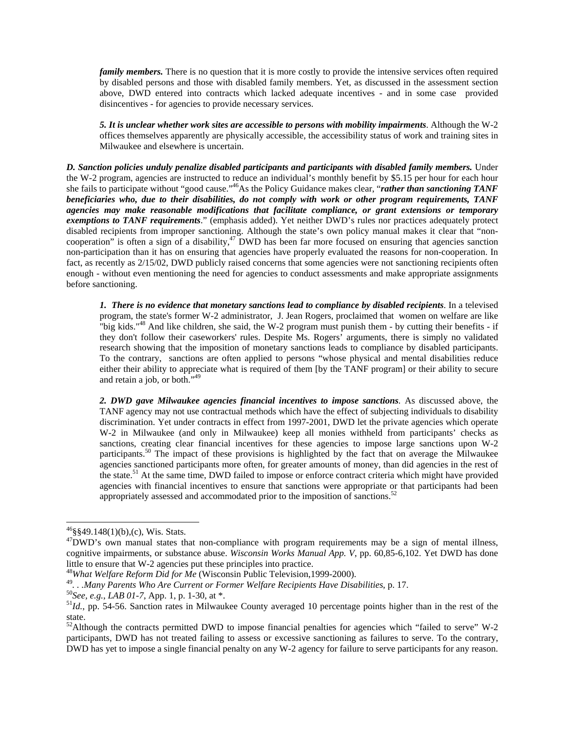*family members*. There is no question that it is more costly to provide the intensive services often required by disabled persons and those with disabled family members. Yet, as discussed in the assessment section above, DWD entered into contracts which lacked adequate incentives - and in some case provided disincentives - for agencies to provide necessary services.

*5. It is unclear whether work sites are accessible to persons with mobility impairments*. Although the W-2 offices themselves apparently are physically accessible, the accessibility status of work and training sites in Milwaukee and elsewhere is uncertain.

*D. Sanction policies unduly penalize disabled participants and participants with disabled family members.* Under the W-2 program, agencies are instructed to reduce an individual's monthly benefit by \$5.15 per hour for each hour she fails to participate without "good cause."<sup>46</sup>As the Policy Guidance makes clear, "*rather than sanctioning TANF beneficiaries who, due to their disabilities, do not comply with work or other program requirements, TANF agencies may make reasonable modifications that facilitate compliance, or grant extensions or temporary exemptions to TANF requirements*." (emphasis added). Yet neither DWD's rules nor practices adequately protect disabled recipients from improper sanctioning. Although the state's own policy manual makes it clear that "noncooperation" is often a sign of a disability, $47$  DWD has been far more focused on ensuring that agencies sanction non-participation than it has on ensuring that agencies have properly evaluated the reasons for non-cooperation. In fact, as recently as 2/15/02, DWD publicly raised concerns that some agencies were not sanctioning recipients often enough - without even mentioning the need for agencies to conduct assessments and make appropriate assignments before sanctioning.

*1. There is no evidence that monetary sanctions lead to compliance by disabled recipients*. In a televised program, the state's former W-2 administrator, J. Jean Rogers, proclaimed that women on welfare are like "big kids."<sup>48</sup> And like children, she said, the W-2 program must punish them - by cutting their benefits - if they don't follow their caseworkers' rules. Despite Ms. Rogers' arguments, there is simply no validated research showing that the imposition of monetary sanctions leads to compliance by disabled participants. To the contrary, sanctions are often applied to persons "whose physical and mental disabilities reduce either their ability to appreciate what is required of them [by the TANF program] or their ability to secure and retain a job, or both.["49](#page-10-3)

*2. DWD gave Milwaukee agencies financial incentives to impose sanctions.* As discussed above, the TANF agency may not use contractual methods which have the effect of subjecting individuals to disability discrimination. Yet under contracts in effect from 1997-2001, DWD let the private agencies which operate W-2 in Milwaukee (and only in Milwaukee) keep all monies withheld from participants' checks as sanctions, creating clear financial incentives for these agencies to impose large sanctions upon W-2 participants.<sup>[50](#page-10-4)</sup> The impact of these provisions is highlighted by the fact that on average the Milwaukee agencies sanctioned participants more often, for greater amounts of money, than did agencies in the rest of the state.<sup>51</sup> At the same time, DWD failed to impose or enforce contract criteria which might have provided agencies with financial incentives to ensure that sanctions were appropriate or that participants had been appropriately assessed and accommodated prior to the imposition of sanctions.<sup>52</sup>

<span id="page-10-1"></span><span id="page-10-0"></span>

 $^{46}$ §§49.148(1)(b),(c), Wis. Stats.<br><sup>47</sup>DWD's own manual states that non-compliance with program requirements may be a sign of mental illness, cognitive impairments, or substance abuse. *Wisconsin Works Manual App. V*, pp. 60,85-6,102. Yet DWD has done little to ensure that W-2 agencies put these principles into practice.

<span id="page-10-2"></span><sup>&</sup>lt;sup>48</sup> What Welfare Reform Did for Me (Wisconsin Public Television,1999-2000).

<span id="page-10-3"></span><sup>49</sup>*. . .Many Parents Who Are Current or Former Welfare Recipients Have Disabilities*, p. 17. 50*See, e.g.*, *LAB 01-7*, App. 1, p. 1-30, at \*.

<span id="page-10-4"></span>

<span id="page-10-5"></span><sup>51</sup>*Id.*, pp. 54-56. Sanction rates in Milwaukee County averaged 10 percentage points higher than in the rest of the state.

<span id="page-10-6"></span><sup>52</sup>Although the contracts permitted DWD to impose financial penalties for agencies which "failed to serve" W-2 participants, DWD has not treated failing to assess or excessive sanctioning as failures to serve. To the contrary, DWD has yet to impose a single financial penalty on any W-2 agency for failure to serve participants for any reason.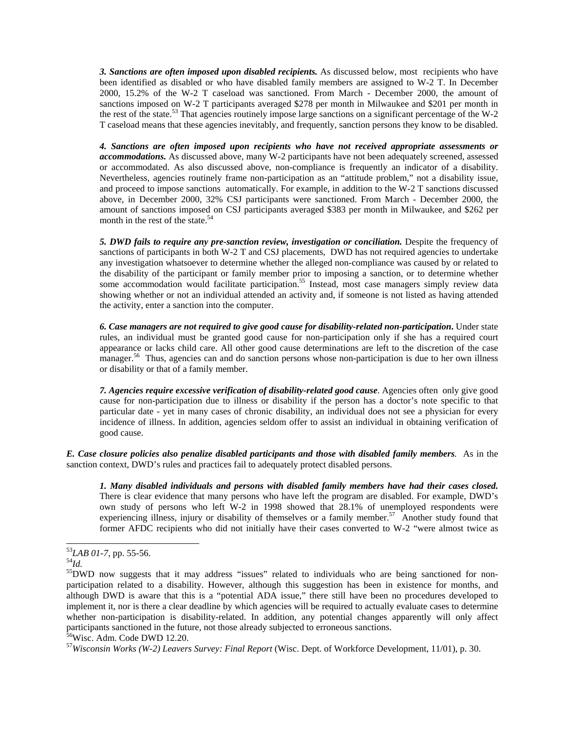*3. Sanctions are often imposed upon disabled recipients.* As discussed below, most recipients who have been identified as disabled or who have disabled family members are assigned to W-2 T. In December 2000, 15.2% of the W-2 T caseload was sanctioned. From March - December 2000, the amount of sanctions imposed on W-2 T participants averaged \$278 per month in Milwaukee and \$201 per month in the rest of the state.<sup>53</sup> That agencies routinely impose large sanctions on a significant percentage of the W-2 T caseload means that these agencies inevitably, and frequently, sanction persons they know to be disabled.

*4. Sanctions are often imposed upon recipients who have not received appropriate assessments or accommodations.* As discussed above, many W-2 participants have not been adequately screened, assessed or accommodated. As also discussed above, non-compliance is frequently an indicator of a disability. Nevertheless, agencies routinely frame non-participation as an "attitude problem," not a disability issue, and proceed to impose sanctions automatically. For example, in addition to the W-2 T sanctions discussed above, in December 2000, 32% CSJ participants were sanctioned. From March - December 2000, the amount of sanctions imposed on CSJ participants averaged \$383 per month in Milwaukee, and \$262 per month in the rest of the state.<sup>54</sup>

*5. DWD fails to require any pre-sanction review, investigation or conciliation.* Despite the frequency of sanctions of participants in both W-2 T and CSJ placements, DWD has not required agencies to undertake any investigation whatsoever to determine whether the alleged non-compliance was caused by or related to the disability of the participant or family member prior to imposing a sanction, or to determine whether some accommodation would facilitate participation.<sup>55</sup> Instead, most case managers simply review data showing whether or not an individual attended an activity and, if someone is not listed as having attended the activity, enter a sanction into the computer.

*6. Case managers are not required to give good cause for disability-related non-participation***.** Under state rules, an individual must be granted good cause for non-participation only if she has a required court appearance or lacks child care. All other good cause determinations are left to the discretion of the case manager.<sup>56</sup> Thus, agencies can and do sanction persons whose non-participation is due to her own illness or disability or that of a family member.

*7. Agencies require excessive verification of disability-related good cause*. Agencies often only give good cause for non-participation due to illness or disability if the person has a doctor's note specific to that particular date - yet in many cases of chronic disability, an individual does not see a physician for every incidence of illness. In addition, agencies seldom offer to assist an individual in obtaining verification of good cause.

*E. Case closure policies also penalize disabled participants and those with disabled family members.* As in the sanction context, DWD's rules and practices fail to adequately protect disabled persons.

*1. Many disabled individuals and persons with disabled family members have had their cases closed.* There is clear evidence that many persons who have left the program are disabled. For example, DWD's own study of persons who left W-2 in 1998 showed that 28.1% of unemployed respondents were experiencing illness, injury or disability of themselves or a family member.<sup>57</sup> Another study found that former AFDC recipients who did not initially have their cases converted to W-2 "were almost twice as

<span id="page-11-0"></span><sup>53</sup>*LAB 01-7*, pp. 55-56. 54*Id.*

<span id="page-11-1"></span>

<span id="page-11-2"></span><sup>55</sup>DWD now suggests that it may address "issues" related to individuals who are being sanctioned for nonparticipation related to a disability. However, although this suggestion has been in existence for months, and although DWD is aware that this is a "potential ADA issue," there still have been no procedures developed to implement it, nor is there a clear deadline by which agencies will be required to actually evaluate cases to determine whether non-participation is disability-related. In addition, any potential changes apparently will only affect participants sanctioned in the future, not those already subjected to erroneous sanctions.

<span id="page-11-3"></span><sup>56</sup>Wisc. Adm. Code DWD 12.20.

<span id="page-11-4"></span><sup>12</sup> <sup>57</sup>*Wisconsin Works (W-2) Leavers Survey: Final Report* (Wisc. Dept. of Workforce Development, 11/01), p. 30.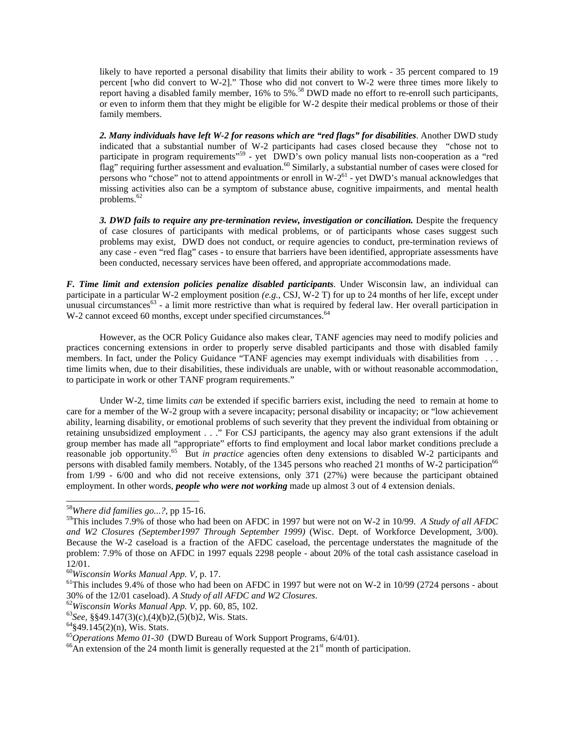likely to have reported a personal disability that limits their ability to work - 35 percent compared to 19 percent [who did convert to W-2]." Those who did not convert to W-2 were three times more likely to report having a disabled family member, 16% to 5%.<sup>58</sup> DWD made no effort to re-enroll such participants, or even to inform them that they might be eligible for W-2 despite their medical problems or those of their family members.

*2. Many individuals have left W-2 for reasons which are "red flags" for disabilities*. Another DWD study indicated that a substantial number of W-2 participants had cases closed because they "chose not to participate in program requirements"<sup>59</sup> - yet DWD's own policy manual lists non-cooperation as a "red flag" requiring further assessment and evaluation.<sup>60</sup> Similarly, a substantial number of cases were closed for persons who "chose" not to attend appointments or enroll in W-2<sup>61</sup> - yet DWD's manual acknowledges that missing activities also can be a symptom of substance abuse, cognitive impairments, and mental health problems.[62](#page-12-4)

*3. DWD fails to require any pre-termination review, investigation or conciliation.* Despite the frequency of case closures of participants with medical problems, or of participants whose cases suggest such problems may exist, DWD does not conduct, or require agencies to conduct, pre-termination reviews of any case - even "red flag" cases - to ensure that barriers have been identified, appropriate assessments have been conducted, necessary services have been offered, and appropriate accommodations made.

*F. Time limit and extension policies penalize disabled participants*. Under Wisconsin law, an individual can participate in a particular W-2 employment position *(e.g.*, CSJ, W-2 T) for up to 24 months of her life, except under unusual circumstances<sup>[63](#page-12-5)</sup> - a limit more restrictive than what is required by federal law. Her overall participation in W-2 cannot exceed 60 months, except under specified circumstances.<sup>64</sup>

However, as the OCR Policy Guidance also makes clear, TANF agencies may need to modify policies and practices concerning extensions in order to properly serve disabled participants and those with disabled family members. In fact, under the Policy Guidance "TANF agencies may exempt individuals with disabilities from ... time limits when, due to their disabilities, these individuals are unable, with or without reasonable accommodation, to participate in work or other TANF program requirements."

Under W-2, time limits *can* be extended if specific barriers exist, including the need to remain at home to care for a member of the W-2 group with a severe incapacity; personal disability or incapacity; or "low achievement ability, learning disability, or emotional problems of such severity that they prevent the individual from obtaining or retaining unsubsidized employment . . ." For CSJ participants, the agency may also grant extensions if the adult group member has made all "appropriate" efforts to find employment and local labor market conditions preclude a reasonable job opportunity.<sup>65</sup> But *in practice* agencies often deny extensions to disabled W-2 participants and persons with disabled family members. Notably, of the 1345 persons who reached 21 months of W-2 participation<sup>[66](#page-12-8)</sup> from 1/99 - 6/00 and who did not receive extensions, only 371 (27%) were because the participant obtained employment. In other words, *people who were not working* made up almost 3 out of 4 extension denials.

<span id="page-12-0"></span> <sup>58</sup>*Where did families go...?,* pp 15-16.

<span id="page-12-1"></span><sup>59</sup>This includes 7.9% of those who had been on AFDC in 1997 but were not on W-2 in 10/99. *A Study of all AFDC and W2 Closures (September1997 Through September 1999)* (Wisc. Dept. of Workforce Development, 3/00). Because the W-2 caseload is a fraction of the AFDC caseload, the percentage understates the magnitude of the problem: 7.9% of those on AFDC in 1997 equals 2298 people - about 20% of the total cash assistance caseload in

<span id="page-12-3"></span><span id="page-12-2"></span>

<sup>&</sup>lt;sup>60</sup>Wisconsin Works Manual App. V, p. 17.<br><sup>61</sup>This includes 9.4% of those who had been on AFDC in 1997 but were not on W-2 in 10/99 (2724 persons - about 30% of the 12/01 caseload). A *Study of all AFDC and W2 Closures*.

<span id="page-12-5"></span><span id="page-12-4"></span>

<sup>&</sup>lt;sup>62</sup>Wisconsin Works Manual App. V, pp. 60, 85, 102.<br><sup>63</sup>See, §§49.147(3)(c),(4)(b)2,(5)(b)2, Wis. Stats. <sup>64</sup>§49.145(2)(n), Wis. Stats.

<span id="page-12-6"></span>

<span id="page-12-7"></span><sup>65</sup>*Operations Memo 01-30* (DWD Bureau of Work Support Programs*,* 6/4/01).

<span id="page-12-8"></span> $66$ An extension of the 24 month limit is generally requested at the 21<sup>st</sup> month of participation.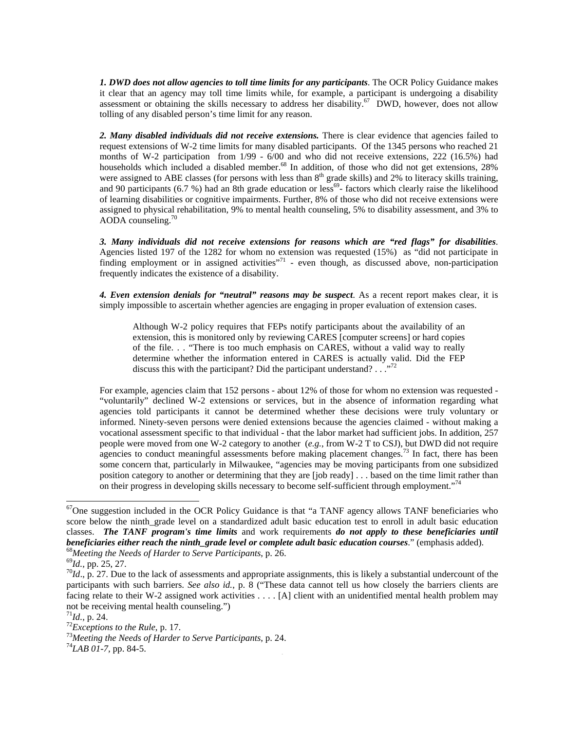*1. DWD does not allow agencies to toll time limits for any participants*. The OCR Policy Guidance makes it clear that an agency may toll time limits while, for example, a participant is undergoing a disability assessment or obtaining the skills necessary to address her disability.<sup>67</sup> DWD, however, does not allow tolling of any disabled person's time limit for any reason.

*2. Many disabled individuals did not receive extensions.* There is clear evidence that agencies failed to request extensions of W-2 time limits for many disabled participants. Of the 1345 persons who reached 21 months of W-2 participation from 1/99 - 6/00 and who did not receive extensions, 222 (16.5%) had households which included a disabled member.<sup>[68](#page-13-1)</sup> In addition, of those who did not get extensions, 28% were assigned to ABE classes (for persons with less than 8<sup>th</sup> grade skills) and 2% to literacy skills training, and 90 participants (6.7 %) had an 8th grade education or less<sup>69</sup>- factors which clearly raise the likelihood of learning disabilities or cognitive impairments. Further, 8% of those who did not receive extensions were assigned to physical rehabilitation, 9% to mental health counseling, 5% to disability assessment, and 3% to AODA counseling. $70$ 

*3. Many individuals did not receive extensions for reasons which are "red flags" for disabilities*. Agencies listed 197 of the 1282 for whom no extension was requested (15%) as "did not participate in finding employment or in assigned activities"<sup>[71](#page-13-4)</sup> - even though, as discussed above, non-participation frequently indicates the existence of a disability.

*4. Even extension denials for "neutral" reasons may be suspect*. As a recent report makes clear, it is simply impossible to ascertain whether agencies are engaging in proper evaluation of extension cases.

Although W-2 policy requires that FEPs notify participants about the availability of an extension, this is monitored only by reviewing CARES [computer screens] or hard copies of the file. . . "There is too much emphasis on CARES, without a valid way to really determine whether the information entered in CARES is actually valid. Did the FEP discuss this with the participant? Did the participant understand? . . . "<sup>72</sup>

For example, agencies claim that 152 persons - about 12% of those for whom no extension was requested - "voluntarily" declined W-2 extensions or services, but in the absence of information regarding what agencies told participants it cannot be determined whether these decisions were truly voluntary or informed. Ninety-seven persons were denied extensions because the agencies claimed - without making a vocational assessment specific to that individual - that the labor market had sufficient jobs. In addition, 257 people were moved from one W-2 category to another (*e.g.*, from W-2 T to CSJ), but DWD did not require agencies to conduct meaningful assessments before making placement changes.<sup>73</sup> In fact, there has been some concern that, particularly in Milwaukee, "agencies may be moving participants from one subsidized position category to another or determining that they are [job ready] . . . based on the time limit rather than on their progress in developing skills necessary to become self-sufficient through employment.["74](#page-13-7)

<span id="page-13-0"></span> $67$ One suggestion included in the OCR Policy Guidance is that "a TANF agency allows TANF beneficiaries who score below the ninth\_grade level on a standardized adult basic education test to enroll in adult basic education classes. *The TANF program's time limits* and work requirements *do not apply to these beneficiaries until*  **beneficiaries either reach the ninth\_grade level or complete adult basic education courses.**" (emphasis added).<br><sup>68</sup>*Meeting the Needs of Harder to Serve Participants*, p. 26.<br><sup>69</sup>*Id.*, pp. 25, 27.<br><sup>70</sup>*Id.*, p. 27. Due

<span id="page-13-2"></span><span id="page-13-1"></span>

<span id="page-13-3"></span>participants with such barriers. *See also id.*, p. 8 ("These data cannot tell us how closely the barriers clients are facing relate to their W-2 assigned work activities . . . . [A] client with an unidentified mental health problem may not be receiving mental health counseling.")<br><sup>71</sup>*Id.*, p. 24.<br><sup>72</sup>*Exceptions to the Rule*, p. 17.<br><sup>73</sup>*Meeting the Needs of Harder to Serve Participants*, p. 24.

<span id="page-13-4"></span>

<span id="page-13-5"></span>

<span id="page-13-6"></span>

<span id="page-13-7"></span><sup>74</sup>*LAB 01-7,* pp. 84-5.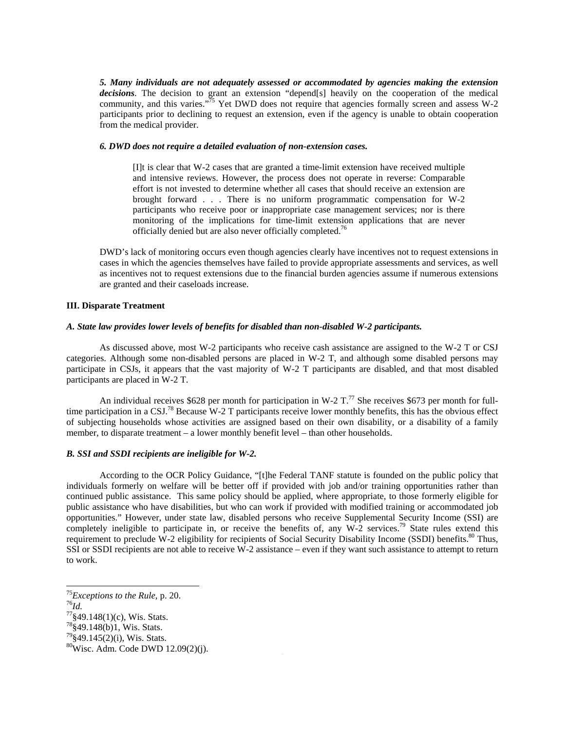*5. Many individuals are not adequately assessed or accommodated by agencies making the extension decisions*. The decision to grant an extension "depend[s] heavily on the cooperation of the medical community, and this varies."<sup>75</sup> Yet DWD does not require that agencies formally screen and assess W-2 participants prior to declining to request an extension, even if the agency is unable to obtain cooperation from the medical provider.

### *6. DWD does not require a detailed evaluation of non-extension cases.*

[I]t is clear that W-2 cases that are granted a time-limit extension have received multiple and intensive reviews. However, the process does not operate in reverse: Comparable effort is not invested to determine whether all cases that should receive an extension are brought forward . . . There is no uniform programmatic compensation for W-2 participants who receive poor or inappropriate case management services; nor is there monitoring of the implications for time-limit extension applications that are never officially denied but are also never officially completed.<sup>[76](#page-14-1)</sup>

DWD's lack of monitoring occurs even though agencies clearly have incentives not to request extensions in cases in which the agencies themselves have failed to provide appropriate assessments and services, as well as incentives not to request extensions due to the financial burden agencies assume if numerous extensions are granted and their caseloads increase.

# **III. Disparate Treatment**

### *A. State law provides lower levels of benefits for disabled than non-disabled W-2 participants.*

As discussed above, most W-2 participants who receive cash assistance are assigned to the W-2 T or CSJ categories. Although some non-disabled persons are placed in W-2 T, and although some disabled persons may participate in CSJs, it appears that the vast majority of W-2 T participants are disabled, and that most disabled participants are placed in W-2 T.

An individual receives \$628 per month for participation in W-2  $T<sup>77</sup>$  She receives \$673 per month for fulltime participation in a CSJ.[78](#page-14-3) Because W-2 T participants receive lower monthly benefits, this has the obvious effect of subjecting households whose activities are assigned based on their own disability, or a disability of a family member, to disparate treatment – a lower monthly benefit level – than other households.

#### *B. SSI and SSDI recipients are ineligible for W-2.*

According to the OCR Policy Guidance, "[t]he Federal TANF statute is founded on the public policy that individuals formerly on welfare will be better off if provided with job and/or training opportunities rather than continued public assistance. This same policy should be applied, where appropriate, to those formerly eligible for public assistance who have disabilities, but who can work if provided with modified training or accommodated job opportunities." However, under state law, disabled persons who receive Supplemental Security Income (SSI) are completely ineligible to participate in, or receive the benefits of, any  $\hat{W}$ -2 services.<sup>79</sup> State rules extend this requirement to preclude W-2 eligibility for recipients of Social Security Disability Income (SSDI) benefits.<sup>80</sup> Thus, SSI or SSDI recipients are not able to receive W-2 assistance – even if they want such assistance to attempt to return to work.

<span id="page-14-0"></span><sup>75</sup>*Exceptions to the Rule*, p. 20. 76*Id.*

<span id="page-14-1"></span>

<span id="page-14-2"></span> $^{77}$ §49.148(1)(c), Wis. Stats.<br><sup>78</sup>§49.148(b)1, Wis. Stats.<br><sup>79</sup>§49.145(2)(i), Wis. Stats.

<span id="page-14-3"></span>

<span id="page-14-4"></span>

<span id="page-14-5"></span><sup>80</sup>Wisc. Adm. Code DWD 12.09(2)(j).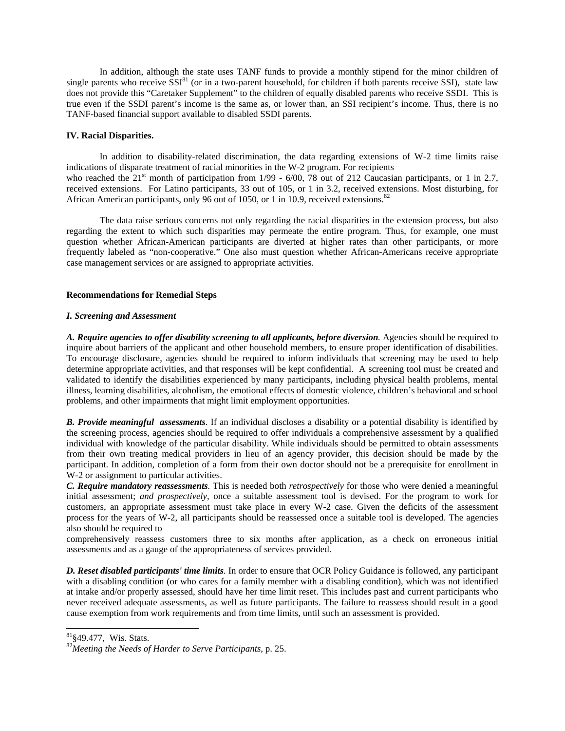In addition, although the state uses TANF funds to provide a monthly stipend for the minor children of single parents who receive  $SSI^{81}$  (or in a two-parent household, for children if both parents receive SSI), state law does not provide this "Caretaker Supplement" to the children of equally disabled parents who receive SSDI. This is true even if the SSDI parent's income is the same as, or lower than, an SSI recipient's income. Thus, there is no TANF-based financial support available to disabled SSDI parents.

# **IV. Racial Disparities.**

In addition to disability-related discrimination, the data regarding extensions of W-2 time limits raise indications of disparate treatment of racial minorities in the W-2 program. For recipients who reached the  $21<sup>st</sup>$  month of participation from  $1/99 - 6/00$ , 78 out of 212 Caucasian participants, or 1 in 2.7, received extensions. For Latino participants, 33 out of 105, or 1 in 3.2, received extensions. Most disturbing, for African American participants, only 96 out of 1050, or 1 in 10.9, received extensions.<sup>82</sup>

The data raise serious concerns not only regarding the racial disparities in the extension process, but also regarding the extent to which such disparities may permeate the entire program. Thus, for example, one must question whether African-American participants are diverted at higher rates than other participants, or more frequently labeled as "non-cooperative." One also must question whether African-Americans receive appropriate case management services or are assigned to appropriate activities.

# **Recommendations for Remedial Steps**

#### *I. Screening and Assessment*

*A. Require agencies to offer disability screening to all applicants, before diversion.* Agencies should be required to inquire about barriers of the applicant and other household members, to ensure proper identification of disabilities. To encourage disclosure, agencies should be required to inform individuals that screening may be used to help determine appropriate activities, and that responses will be kept confidential.A screening tool must be created and validated to identify the disabilities experienced by many participants, including physical health problems, mental illness, learning disabilities, alcoholism, the emotional effects of domestic violence, children's behavioral and school problems, and other impairments that might limit employment opportunities.

*B. Provide meaningful assessments.* If an individual discloses a disability or a potential disability is identified by the screening process, agencies should be required to offer individuals a comprehensive assessment by a qualified individual with knowledge of the particular disability. While individuals should be permitted to obtain assessments from their own treating medical providers in lieu of an agency provider, this decision should be made by the participant. In addition, completion of a form from their own doctor should not be a prerequisite for enrollment in W-2 or assignment to particular activities.

*C. Require mandatory reassessments.* This is needed both *retrospectively* for those who were denied a meaningful initial assessment; *and prospectively*, once a suitable assessment tool is devised. For the program to work for customers, an appropriate assessment must take place in every W-2 case. Given the deficits of the assessment process for the years of W-2, all participants should be reassessed once a suitable tool is developed. The agencies also should be required to

comprehensively reassess customers three to six months after application, as a check on erroneous initial assessments and as a gauge of the appropriateness of services provided.

*D. Reset disabled participants' time limits.* In order to ensure that OCR Policy Guidance is followed, any participant with a disabling condition (or who cares for a family member with a disabling condition), which was not identified at intake and/or properly assessed, should have her time limit reset. This includes past and current participants who never received adequate assessments, as well as future participants. The failure to reassess should result in a good cause exemption from work requirements and from time limits, until such an assessment is provided.

<span id="page-15-0"></span> ${}^{81}$ §49.477, Wis. Stats.

 $\overline{a}$ 

<span id="page-15-1"></span><sup>82</sup>*Meeting the Needs of Harder to Serve Participants*, p. 25.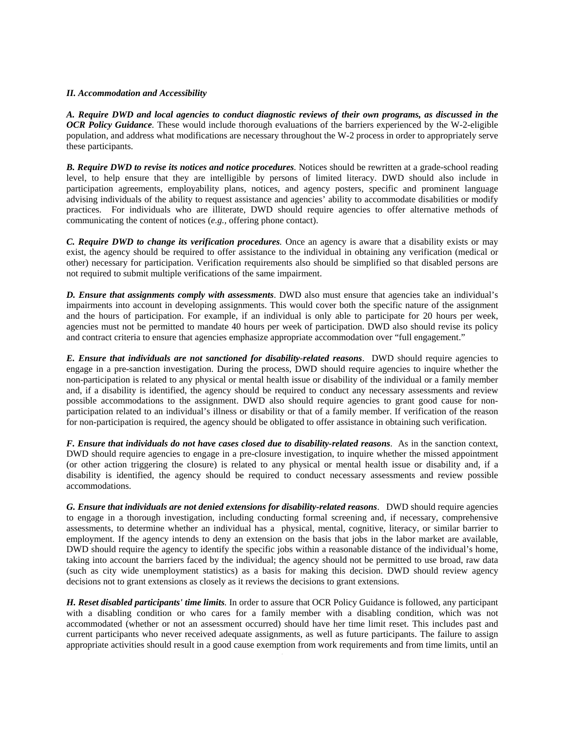# *II. Accommodation and Accessibility*

*A. Require DWD and local agencies to conduct diagnostic reviews of their own programs, as discussed in the OCR Policy Guidance.* These would include thorough evaluations of the barriers experienced by the W-2-eligible population, and address what modifications are necessary throughout the W-2 process in order to appropriately serve these participants.

*B. Require DWD to revise its notices and notice procedures.* Notices should be rewritten at a grade-school reading level, to help ensure that they are intelligible by persons of limited literacy. DWD should also include in participation agreements, employability plans, notices, and agency posters, specific and prominent language advising individuals of the ability to request assistance and agencies' ability to accommodate disabilities or modify practices. For individuals who are illiterate, DWD should require agencies to offer alternative methods of communicating the content of notices (*e.g.,* offering phone contact).

*C. Require DWD to change its verification procedures.* Once an agency is aware that a disability exists or may exist, the agency should be required to offer assistance to the individual in obtaining any verification (medical or other) necessary for participation. Verification requirements also should be simplified so that disabled persons are not required to submit multiple verifications of the same impairment.

*D. Ensure that assignments comply with assessments*. DWD also must ensure that agencies take an individual's impairments into account in developing assignments. This would cover both the specific nature of the assignment and the hours of participation. For example, if an individual is only able to participate for 20 hours per week, agencies must not be permitted to mandate 40 hours per week of participation. DWD also should revise its policy and contract criteria to ensure that agencies emphasize appropriate accommodation over "full engagement."

*E. Ensure that individuals are not sanctioned for disability-related reasons*. DWD should require agencies to engage in a pre-sanction investigation. During the process, DWD should require agencies to inquire whether the non-participation is related to any physical or mental health issue or disability of the individual or a family member and, if a disability is identified, the agency should be required to conduct any necessary assessments and review possible accommodations to the assignment. DWD also should require agencies to grant good cause for nonparticipation related to an individual's illness or disability or that of a family member. If verification of the reason for non-participation is required, the agency should be obligated to offer assistance in obtaining such verification.

*F. Ensure that individuals do not have cases closed due to disability-related reasons*. As in the sanction context, DWD should require agencies to engage in a pre-closure investigation, to inquire whether the missed appointment (or other action triggering the closure) is related to any physical or mental health issue or disability and, if a disability is identified, the agency should be required to conduct necessary assessments and review possible accommodations.

*G. Ensure that individuals are not denied extensions for disability-related reasons*. DWD should require agencies to engage in a thorough investigation, including conducting formal screening and, if necessary, comprehensive assessments, to determine whether an individual has a physical, mental, cognitive, literacy, or similar barrier to employment. If the agency intends to deny an extension on the basis that jobs in the labor market are available, DWD should require the agency to identify the specific jobs within a reasonable distance of the individual's home, taking into account the barriers faced by the individual; the agency should not be permitted to use broad, raw data (such as city wide unemployment statistics) as a basis for making this decision. DWD should review agency decisions not to grant extensions as closely as it reviews the decisions to grant extensions.

*H. Reset disabled participants' time limits.* In order to assure that OCR Policy Guidance is followed, any participant with a disabling condition or who cares for a family member with a disabling condition, which was not accommodated (whether or not an assessment occurred) should have her time limit reset. This includes past and current participants who never received adequate assignments, as well as future participants. The failure to assign appropriate activities should result in a good cause exemption from work requirements and from time limits, until an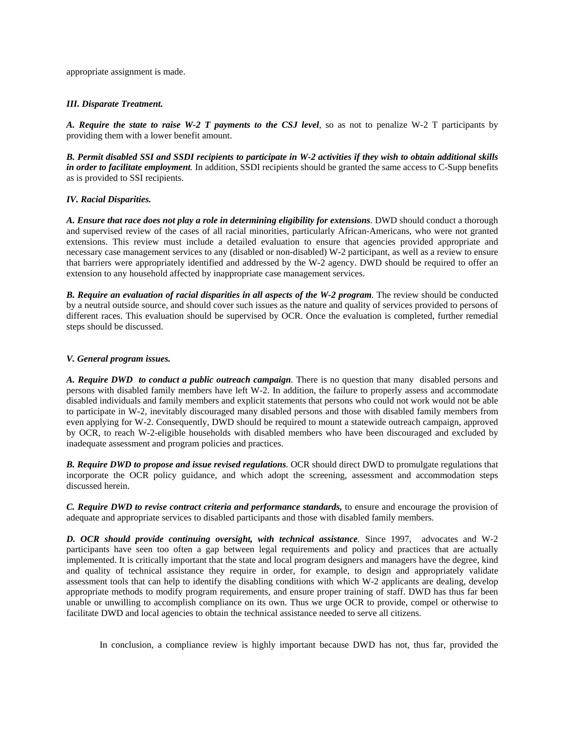appropriate assignment is made.

# *III. Disparate Treatment.*

*A. Require the state to raise W-2 T payments to the CSJ level*, so as not to penalize W-2 T participants by providing them with a lower benefit amount.

*B. Permit disabled SSI and SSDI recipients to participate in W-2 activities if they wish to obtain additional skills in order to facilitate employment.* In addition, SSDI recipients should be granted the same access to C-Supp benefits as is provided to SSI recipients.

# *IV. Racial Disparities.*

*A. Ensure that race does not play a role in determining eligibility for extensions*. DWD should conduct a thorough and supervised review of the cases of all racial minorities, particularly African-Americans, who were not granted extensions. This review must include a detailed evaluation to ensure that agencies provided appropriate and necessary case management services to any (disabled or non-disabled) W-2 participant, as well as a review to ensure that barriers were appropriately identified and addressed by the W-2 agency. DWD should be required to offer an extension to any household affected by inappropriate case management services.

*B. Require an evaluation of racial disparities in all aspects of the W-2 program*. The review should be conducted by a neutral outside source, and should cover such issues as the nature and quality of services provided to persons of different races. This evaluation should be supervised by OCR. Once the evaluation is completed, further remedial steps should be discussed.

# *V. General program issues.*

*A. Require DWD to conduct a public outreach campaign.* There is no question that many disabled persons and persons with disabled family members have left W-2. In addition, the failure to properly assess and accommodate disabled individuals and family members and explicit statements that persons who could not work would not be able to participate in W-2, inevitably discouraged many disabled persons and those with disabled family members from even applying for W-2. Consequently, DWD should be required to mount a statewide outreach campaign, approved by OCR, to reach W-2-eligible households with disabled members who have been discouraged and excluded by inadequate assessment and program policies and practices.

*B. Require DWD to propose and issue revised regulations.* OCR should direct DWD to promulgate regulations that incorporate the OCR policy guidance, and which adopt the screening, assessment and accommodation steps discussed herein.

*C. Require DWD to revise contract criteria and performance standards,* to ensure and encourage the provision of adequate and appropriate services to disabled participants and those with disabled family members.

*D. OCR should provide continuing oversight, with technical assistance.* Since 1997, advocates and W-2 participants have seen too often a gap between legal requirements and policy and practices that are actually implemented. It is critically important that the state and local program designers and managers have the degree, kind and quality of technical assistance they require in order, for example, to design and appropriately validate assessment tools that can help to identify the disabling conditions with which W-2 applicants are dealing, develop appropriate methods to modify program requirements, and ensure proper training of staff. DWD has thus far been unable or unwilling to accomplish compliance on its own. Thus we urge OCR to provide, compel or otherwise to facilitate DWD and local agencies to obtain the technical assistance needed to serve all citizens.

In conclusion, a compliance review is highly important because DWD has not, thus far, provided the